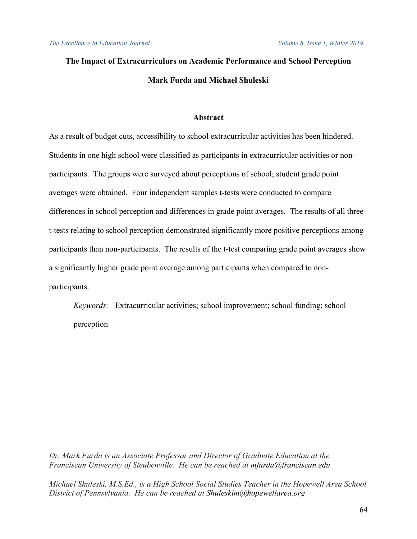# **The Impact of Extracurriculurs on Academic Performance and School Perception Mark Furda and Michael Shuleski**

# **Abstract**

As a result of budget cuts, accessibility to school extracurricular activities has been hindered. Students in one high school were classified as participants in extracurricular activities or nonparticipants. The groups were surveyed about perceptions of school; student grade point averages were obtained. Four independent samples t-tests were conducted to compare differences in school perception and differences in grade point averages. The results of all three t-tests relating to school perception demonstrated significantly more positive perceptions among participants than non-participants. The results of the t-test comparing grade point averages show a significantly higher grade point average among participants when compared to nonparticipants.

*Keywords:* Extracurricular activities; school improvement; school funding; school perception

*Dr. Mark Furda is an Associate Professor and Director of Graduate Education at the Franciscan University of Steubenville. He can be reached at mfurda@franciscan.edu*

*Michael Shuleski, M.S.Ed., is a High School Social Studies Teacher in the Hopewell Area School District of Pennsylvania. He can be reached at Shuleskim@hopewellarea.org*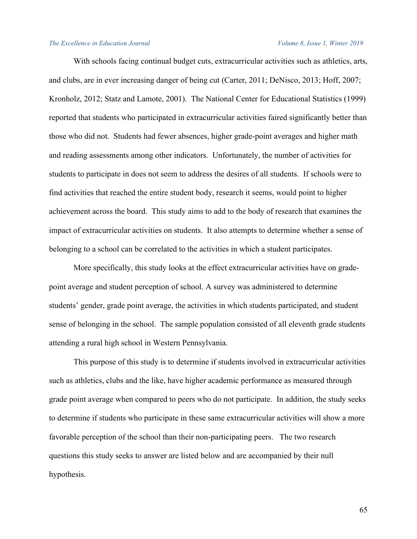With schools facing continual budget cuts, extracurricular activities such as athletics, arts, and clubs, are in ever increasing danger of being cut (Carter, 2011; DeNisco, 2013; Hoff, 2007; Kronholz, 2012; Statz and Lamote, 2001). The National Center for Educational Statistics (1999) reported that students who participated in extracurricular activities faired significantly better than those who did not. Students had fewer absences, higher grade-point averages and higher math and reading assessments among other indicators. Unfortunately, the number of activities for students to participate in does not seem to address the desires of all students. If schools were to find activities that reached the entire student body, research it seems, would point to higher achievement across the board. This study aims to add to the body of research that examines the impact of extracurricular activities on students. It also attempts to determine whether a sense of belonging to a school can be correlated to the activities in which a student participates.

More specifically, this study looks at the effect extracurricular activities have on gradepoint average and student perception of school. A survey was administered to determine students' gender, grade point average, the activities in which students participated, and student sense of belonging in the school. The sample population consisted of all eleventh grade students attending a rural high school in Western Pennsylvania.

This purpose of this study is to determine if students involved in extracurricular activities such as athletics, clubs and the like, have higher academic performance as measured through grade point average when compared to peers who do not participate. In addition, the study seeks to determine if students who participate in these same extracurricular activities will show a more favorable perception of the school than their non-participating peers. The two research questions this study seeks to answer are listed below and are accompanied by their null hypothesis.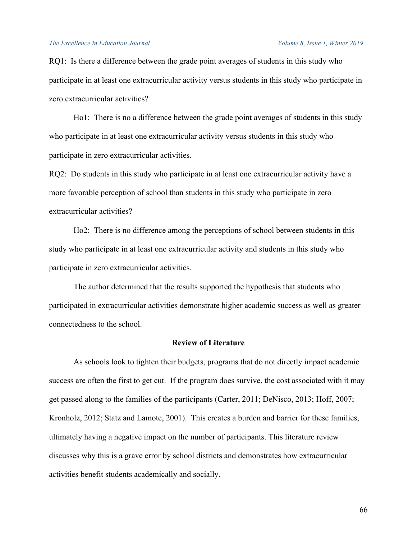RQ1: Is there a difference between the grade point averages of students in this study who participate in at least one extracurricular activity versus students in this study who participate in zero extracurricular activities?

Ho1: There is no a difference between the grade point averages of students in this study who participate in at least one extracurricular activity versus students in this study who participate in zero extracurricular activities.

RQ2: Do students in this study who participate in at least one extracurricular activity have a more favorable perception of school than students in this study who participate in zero extracurricular activities?

Ho2: There is no difference among the perceptions of school between students in this study who participate in at least one extracurricular activity and students in this study who participate in zero extracurricular activities.

The author determined that the results supported the hypothesis that students who participated in extracurricular activities demonstrate higher academic success as well as greater connectedness to the school.

# **Review of Literature**

As schools look to tighten their budgets, programs that do not directly impact academic success are often the first to get cut. If the program does survive, the cost associated with it may get passed along to the families of the participants (Carter, 2011; DeNisco, 2013; Hoff, 2007; Kronholz, 2012; Statz and Lamote, 2001). This creates a burden and barrier for these families, ultimately having a negative impact on the number of participants. This literature review discusses why this is a grave error by school districts and demonstrates how extracurricular activities benefit students academically and socially.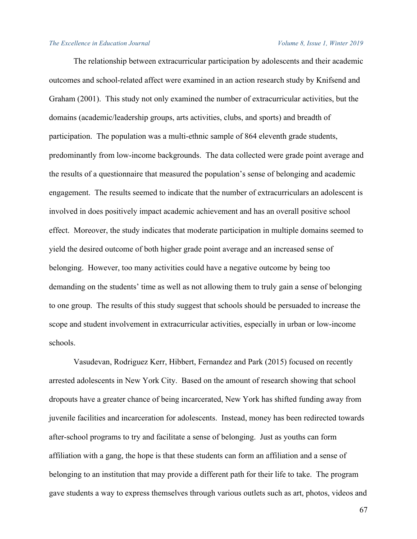The relationship between extracurricular participation by adolescents and their academic outcomes and school-related affect were examined in an action research study by Knifsend and Graham (2001). This study not only examined the number of extracurricular activities, but the domains (academic/leadership groups, arts activities, clubs, and sports) and breadth of participation. The population was a multi-ethnic sample of 864 eleventh grade students, predominantly from low-income backgrounds. The data collected were grade point average and the results of a questionnaire that measured the population's sense of belonging and academic engagement. The results seemed to indicate that the number of extracurriculars an adolescent is involved in does positively impact academic achievement and has an overall positive school effect. Moreover, the study indicates that moderate participation in multiple domains seemed to yield the desired outcome of both higher grade point average and an increased sense of belonging. However, too many activities could have a negative outcome by being too demanding on the students' time as well as not allowing them to truly gain a sense of belonging to one group. The results of this study suggest that schools should be persuaded to increase the scope and student involvement in extracurricular activities, especially in urban or low-income schools.

Vasudevan, Rodriguez Kerr, Hibbert, Fernandez and Park (2015) focused on recently arrested adolescents in New York City. Based on the amount of research showing that school dropouts have a greater chance of being incarcerated, New York has shifted funding away from juvenile facilities and incarceration for adolescents. Instead, money has been redirected towards after-school programs to try and facilitate a sense of belonging. Just as youths can form affiliation with a gang, the hope is that these students can form an affiliation and a sense of belonging to an institution that may provide a different path for their life to take. The program gave students a way to express themselves through various outlets such as art, photos, videos and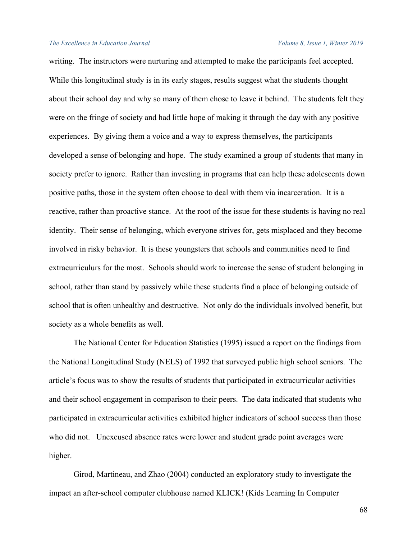writing. The instructors were nurturing and attempted to make the participants feel accepted. While this longitudinal study is in its early stages, results suggest what the students thought about their school day and why so many of them chose to leave it behind. The students felt they were on the fringe of society and had little hope of making it through the day with any positive experiences. By giving them a voice and a way to express themselves, the participants developed a sense of belonging and hope. The study examined a group of students that many in society prefer to ignore. Rather than investing in programs that can help these adolescents down positive paths, those in the system often choose to deal with them via incarceration. It is a reactive, rather than proactive stance. At the root of the issue for these students is having no real identity. Their sense of belonging, which everyone strives for, gets misplaced and they become involved in risky behavior. It is these youngsters that schools and communities need to find extracurriculurs for the most. Schools should work to increase the sense of student belonging in school, rather than stand by passively while these students find a place of belonging outside of school that is often unhealthy and destructive. Not only do the individuals involved benefit, but society as a whole benefits as well.

The National Center for Education Statistics (1995) issued a report on the findings from the National Longitudinal Study (NELS) of 1992 that surveyed public high school seniors. The article's focus was to show the results of students that participated in extracurricular activities and their school engagement in comparison to their peers. The data indicated that students who participated in extracurricular activities exhibited higher indicators of school success than those who did not. Unexcused absence rates were lower and student grade point averages were higher.

Girod, Martineau, and Zhao (2004) conducted an exploratory study to investigate the impact an after-school computer clubhouse named KLICK! (Kids Learning In Computer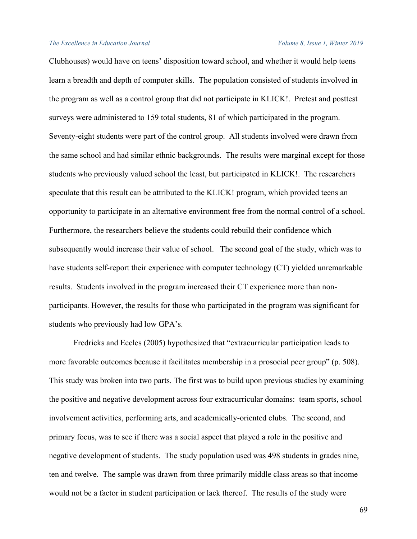Clubhouses) would have on teens' disposition toward school, and whether it would help teens learn a breadth and depth of computer skills. The population consisted of students involved in the program as well as a control group that did not participate in KLICK!. Pretest and posttest surveys were administered to 159 total students, 81 of which participated in the program. Seventy-eight students were part of the control group. All students involved were drawn from the same school and had similar ethnic backgrounds. The results were marginal except for those students who previously valued school the least, but participated in KLICK!. The researchers speculate that this result can be attributed to the KLICK! program, which provided teens an opportunity to participate in an alternative environment free from the normal control of a school. Furthermore, the researchers believe the students could rebuild their confidence which subsequently would increase their value of school. The second goal of the study, which was to have students self-report their experience with computer technology (CT) yielded unremarkable results. Students involved in the program increased their CT experience more than nonparticipants. However, the results for those who participated in the program was significant for students who previously had low GPA's.

Fredricks and Eccles (2005) hypothesized that "extracurricular participation leads to more favorable outcomes because it facilitates membership in a prosocial peer group" (p. 508). This study was broken into two parts. The first was to build upon previous studies by examining the positive and negative development across four extracurricular domains: team sports, school involvement activities, performing arts, and academically-oriented clubs. The second, and primary focus, was to see if there was a social aspect that played a role in the positive and negative development of students. The study population used was 498 students in grades nine, ten and twelve. The sample was drawn from three primarily middle class areas so that income would not be a factor in student participation or lack thereof. The results of the study were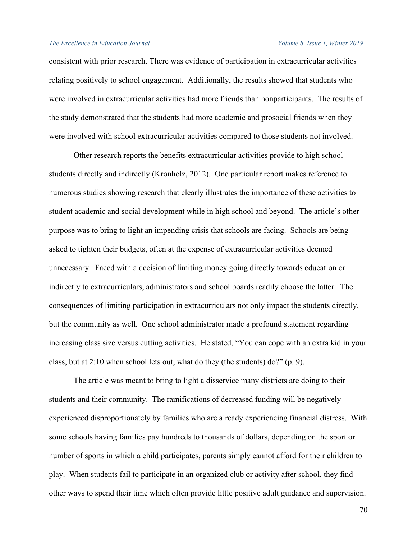consistent with prior research. There was evidence of participation in extracurricular activities relating positively to school engagement. Additionally, the results showed that students who were involved in extracurricular activities had more friends than nonparticipants. The results of the study demonstrated that the students had more academic and prosocial friends when they were involved with school extracurricular activities compared to those students not involved.

Other research reports the benefits extracurricular activities provide to high school students directly and indirectly (Kronholz, 2012). One particular report makes reference to numerous studies showing research that clearly illustrates the importance of these activities to student academic and social development while in high school and beyond. The article's other purpose was to bring to light an impending crisis that schools are facing. Schools are being asked to tighten their budgets, often at the expense of extracurricular activities deemed unnecessary. Faced with a decision of limiting money going directly towards education or indirectly to extracurriculars, administrators and school boards readily choose the latter. The consequences of limiting participation in extracurriculars not only impact the students directly, but the community as well. One school administrator made a profound statement regarding increasing class size versus cutting activities. He stated, "You can cope with an extra kid in your class, but at 2:10 when school lets out, what do they (the students) do?" (p. 9).

The article was meant to bring to light a disservice many districts are doing to their students and their community. The ramifications of decreased funding will be negatively experienced disproportionately by families who are already experiencing financial distress. With some schools having families pay hundreds to thousands of dollars, depending on the sport or number of sports in which a child participates, parents simply cannot afford for their children to play. When students fail to participate in an organized club or activity after school, they find other ways to spend their time which often provide little positive adult guidance and supervision.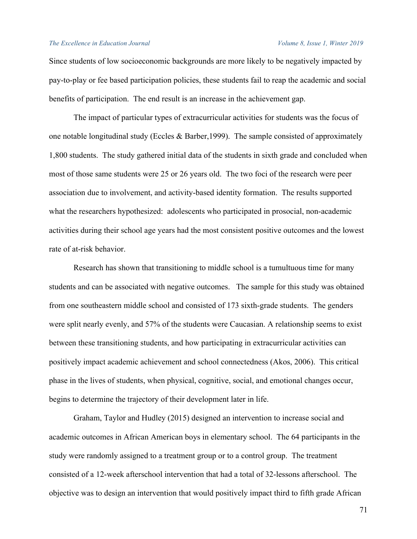Since students of low socioeconomic backgrounds are more likely to be negatively impacted by pay-to-play or fee based participation policies, these students fail to reap the academic and social benefits of participation. The end result is an increase in the achievement gap.

The impact of particular types of extracurricular activities for students was the focus of one notable longitudinal study (Eccles & Barber,1999). The sample consisted of approximately 1,800 students. The study gathered initial data of the students in sixth grade and concluded when most of those same students were 25 or 26 years old. The two foci of the research were peer association due to involvement, and activity-based identity formation. The results supported what the researchers hypothesized: adolescents who participated in prosocial, non-academic activities during their school age years had the most consistent positive outcomes and the lowest rate of at-risk behavior.

Research has shown that transitioning to middle school is a tumultuous time for many students and can be associated with negative outcomes. The sample for this study was obtained from one southeastern middle school and consisted of 173 sixth-grade students. The genders were split nearly evenly, and 57% of the students were Caucasian. A relationship seems to exist between these transitioning students, and how participating in extracurricular activities can positively impact academic achievement and school connectedness (Akos, 2006). This critical phase in the lives of students, when physical, cognitive, social, and emotional changes occur, begins to determine the trajectory of their development later in life.

Graham, Taylor and Hudley (2015) designed an intervention to increase social and academic outcomes in African American boys in elementary school. The 64 participants in the study were randomly assigned to a treatment group or to a control group. The treatment consisted of a 12-week afterschool intervention that had a total of 32-lessons afterschool. The objective was to design an intervention that would positively impact third to fifth grade African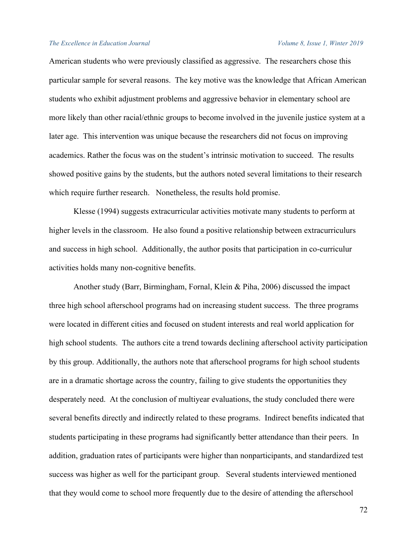American students who were previously classified as aggressive. The researchers chose this particular sample for several reasons. The key motive was the knowledge that African American students who exhibit adjustment problems and aggressive behavior in elementary school are more likely than other racial/ethnic groups to become involved in the juvenile justice system at a later age. This intervention was unique because the researchers did not focus on improving academics. Rather the focus was on the student's intrinsic motivation to succeed. The results showed positive gains by the students, but the authors noted several limitations to their research which require further research. Nonetheless, the results hold promise.

Klesse (1994) suggests extracurricular activities motivate many students to perform at higher levels in the classroom. He also found a positive relationship between extracurriculurs and success in high school. Additionally, the author posits that participation in co-curriculur activities holds many non-cognitive benefits.

Another study (Barr, Birmingham, Fornal, Klein & Piha, 2006) discussed the impact three high school afterschool programs had on increasing student success. The three programs were located in different cities and focused on student interests and real world application for high school students. The authors cite a trend towards declining afterschool activity participation by this group. Additionally, the authors note that afterschool programs for high school students are in a dramatic shortage across the country, failing to give students the opportunities they desperately need. At the conclusion of multiyear evaluations, the study concluded there were several benefits directly and indirectly related to these programs. Indirect benefits indicated that students participating in these programs had significantly better attendance than their peers. In addition, graduation rates of participants were higher than nonparticipants, and standardized test success was higher as well for the participant group. Several students interviewed mentioned that they would come to school more frequently due to the desire of attending the afterschool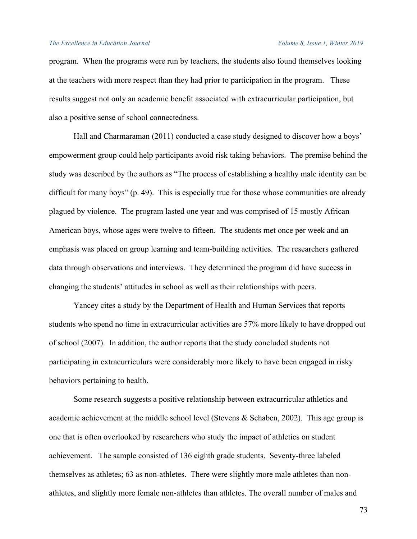program. When the programs were run by teachers, the students also found themselves looking at the teachers with more respect than they had prior to participation in the program. These results suggest not only an academic benefit associated with extracurricular participation, but also a positive sense of school connectedness.

Hall and Charmaraman (2011) conducted a case study designed to discover how a boys' empowerment group could help participants avoid risk taking behaviors. The premise behind the study was described by the authors as "The process of establishing a healthy male identity can be difficult for many boys" (p. 49). This is especially true for those whose communities are already plagued by violence. The program lasted one year and was comprised of 15 mostly African American boys, whose ages were twelve to fifteen. The students met once per week and an emphasis was placed on group learning and team-building activities. The researchers gathered data through observations and interviews. They determined the program did have success in changing the students' attitudes in school as well as their relationships with peers.

Yancey cites a study by the Department of Health and Human Services that reports students who spend no time in extracurricular activities are 57% more likely to have dropped out of school (2007). In addition, the author reports that the study concluded students not participating in extracurriculurs were considerably more likely to have been engaged in risky behaviors pertaining to health.

 Some research suggests a positive relationship between extracurricular athletics and academic achievement at the middle school level (Stevens & Schaben, 2002). This age group is one that is often overlooked by researchers who study the impact of athletics on student achievement. The sample consisted of 136 eighth grade students. Seventy-three labeled themselves as athletes; 63 as non-athletes. There were slightly more male athletes than nonathletes, and slightly more female non-athletes than athletes. The overall number of males and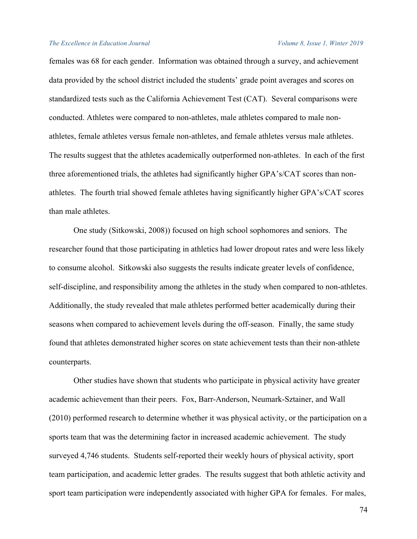females was 68 for each gender. Information was obtained through a survey, and achievement data provided by the school district included the students' grade point averages and scores on standardized tests such as the California Achievement Test (CAT). Several comparisons were conducted. Athletes were compared to non-athletes, male athletes compared to male nonathletes, female athletes versus female non-athletes, and female athletes versus male athletes. The results suggest that the athletes academically outperformed non-athletes. In each of the first three aforementioned trials, the athletes had significantly higher GPA's/CAT scores than nonathletes. The fourth trial showed female athletes having significantly higher GPA's/CAT scores than male athletes.

One study (Sitkowski, 2008)) focused on high school sophomores and seniors. The researcher found that those participating in athletics had lower dropout rates and were less likely to consume alcohol. Sitkowski also suggests the results indicate greater levels of confidence, self-discipline, and responsibility among the athletes in the study when compared to non-athletes. Additionally, the study revealed that male athletes performed better academically during their seasons when compared to achievement levels during the off-season. Finally, the same study found that athletes demonstrated higher scores on state achievement tests than their non-athlete counterparts.

Other studies have shown that students who participate in physical activity have greater academic achievement than their peers. Fox, Barr-Anderson, Neumark-Sztainer, and Wall (2010) performed research to determine whether it was physical activity, or the participation on a sports team that was the determining factor in increased academic achievement. The study surveyed 4,746 students. Students self-reported their weekly hours of physical activity, sport team participation, and academic letter grades. The results suggest that both athletic activity and sport team participation were independently associated with higher GPA for females. For males,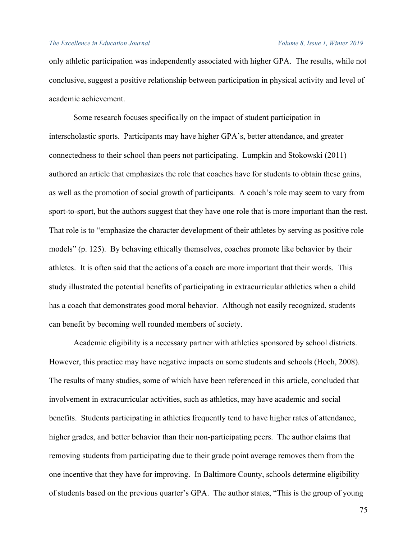only athletic participation was independently associated with higher GPA. The results, while not conclusive, suggest a positive relationship between participation in physical activity and level of academic achievement.

Some research focuses specifically on the impact of student participation in interscholastic sports. Participants may have higher GPA's, better attendance, and greater connectedness to their school than peers not participating. Lumpkin and Stokowski (2011) authored an article that emphasizes the role that coaches have for students to obtain these gains, as well as the promotion of social growth of participants. A coach's role may seem to vary from sport-to-sport, but the authors suggest that they have one role that is more important than the rest. That role is to "emphasize the character development of their athletes by serving as positive role models" (p. 125). By behaving ethically themselves, coaches promote like behavior by their athletes. It is often said that the actions of a coach are more important that their words. This study illustrated the potential benefits of participating in extracurricular athletics when a child has a coach that demonstrates good moral behavior. Although not easily recognized, students can benefit by becoming well rounded members of society.

Academic eligibility is a necessary partner with athletics sponsored by school districts. However, this practice may have negative impacts on some students and schools (Hoch, 2008). The results of many studies, some of which have been referenced in this article, concluded that involvement in extracurricular activities, such as athletics, may have academic and social benefits. Students participating in athletics frequently tend to have higher rates of attendance, higher grades, and better behavior than their non-participating peers. The author claims that removing students from participating due to their grade point average removes them from the one incentive that they have for improving. In Baltimore County, schools determine eligibility of students based on the previous quarter's GPA. The author states, "This is the group of young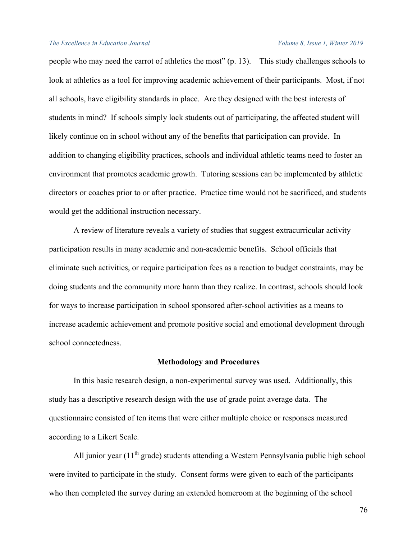people who may need the carrot of athletics the most" (p. 13). This study challenges schools to look at athletics as a tool for improving academic achievement of their participants. Most, if not all schools, have eligibility standards in place. Are they designed with the best interests of students in mind? If schools simply lock students out of participating, the affected student will likely continue on in school without any of the benefits that participation can provide. In addition to changing eligibility practices, schools and individual athletic teams need to foster an environment that promotes academic growth. Tutoring sessions can be implemented by athletic directors or coaches prior to or after practice. Practice time would not be sacrificed, and students would get the additional instruction necessary.

A review of literature reveals a variety of studies that suggest extracurricular activity participation results in many academic and non-academic benefits. School officials that eliminate such activities, or require participation fees as a reaction to budget constraints, may be doing students and the community more harm than they realize. In contrast, schools should look for ways to increase participation in school sponsored after-school activities as a means to increase academic achievement and promote positive social and emotional development through school connectedness.

### **Methodology and Procedures**

In this basic research design, a non-experimental survey was used. Additionally, this study has a descriptive research design with the use of grade point average data. The questionnaire consisted of ten items that were either multiple choice or responses measured according to a Likert Scale.

All junior year  $(11<sup>th</sup>$  grade) students attending a Western Pennsylvania public high school were invited to participate in the study. Consent forms were given to each of the participants who then completed the survey during an extended homeroom at the beginning of the school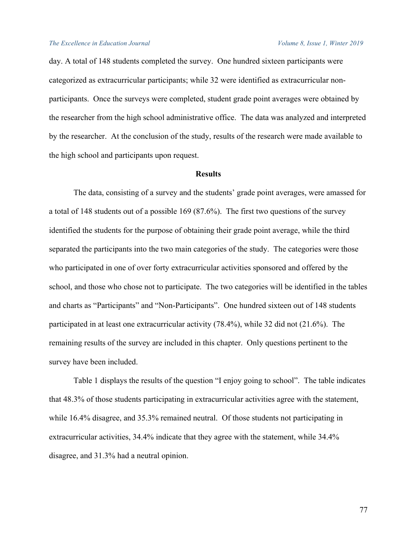day. A total of 148 students completed the survey. One hundred sixteen participants were categorized as extracurricular participants; while 32 were identified as extracurricular nonparticipants. Once the surveys were completed, student grade point averages were obtained by the researcher from the high school administrative office. The data was analyzed and interpreted by the researcher. At the conclusion of the study, results of the research were made available to the high school and participants upon request.

### **Results**

The data, consisting of a survey and the students' grade point averages, were amassed for a total of 148 students out of a possible 169 (87.6%). The first two questions of the survey identified the students for the purpose of obtaining their grade point average, while the third separated the participants into the two main categories of the study. The categories were those who participated in one of over forty extracurricular activities sponsored and offered by the school, and those who chose not to participate. The two categories will be identified in the tables and charts as "Participants" and "Non-Participants". One hundred sixteen out of 148 students participated in at least one extracurricular activity (78.4%), while 32 did not (21.6%). The remaining results of the survey are included in this chapter. Only questions pertinent to the survey have been included.

Table 1 displays the results of the question "I enjoy going to school". The table indicates that 48.3% of those students participating in extracurricular activities agree with the statement, while 16.4% disagree, and 35.3% remained neutral. Of those students not participating in extracurricular activities, 34.4% indicate that they agree with the statement, while 34.4% disagree, and 31.3% had a neutral opinion.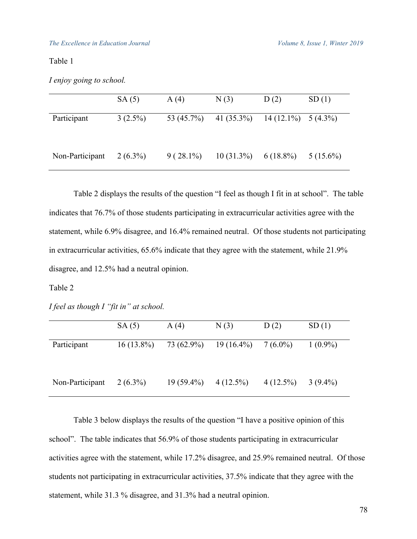|                 | SA(5)      | A(4)          | N(3)          | D(2)                  | SD(1)       |
|-----------------|------------|---------------|---------------|-----------------------|-------------|
| Participant     | $3(2.5\%)$ | 53 $(45.7\%)$ | 41 $(35.3\%)$ | $14(12.1\%)$ 5 (4.3%) |             |
| Non-Participant | $2(6.3\%)$ | $9(28.1\%)$   | $10(31.3\%)$  | $6(18.8\%)$           | $5(15.6\%)$ |

Table 2 displays the results of the question "I feel as though I fit in at school". The table indicates that 76.7% of those students participating in extracurricular activities agree with the statement, while 6.9% disagree, and 16.4% remained neutral. Of those students not participating in extracurricular activities, 65.6% indicate that they agree with the statement, while 21.9% disagree, and 12.5% had a neutral opinion.

#### Table 2

*I feel as though I "fit in" at school.*

|                 | SA(5)        | A(4)         | N(3)         | D(2)        | SD(1)      |
|-----------------|--------------|--------------|--------------|-------------|------------|
| Participant     | $16(13.8\%)$ | 73 (62.9%)   | $19(16.4\%)$ | $7(6.0\%)$  | $1(0.9\%)$ |
| Non-Participant | $2(6.3\%)$   | $19(59.4\%)$ | $4(12.5\%)$  | $4(12.5\%)$ | $3(9.4\%)$ |

Table 3 below displays the results of the question "I have a positive opinion of this school". The table indicates that 56.9% of those students participating in extracurricular activities agree with the statement, while 17.2% disagree, and 25.9% remained neutral. Of those students not participating in extracurricular activities, 37.5% indicate that they agree with the statement, while 31.3 % disagree, and 31.3% had a neutral opinion.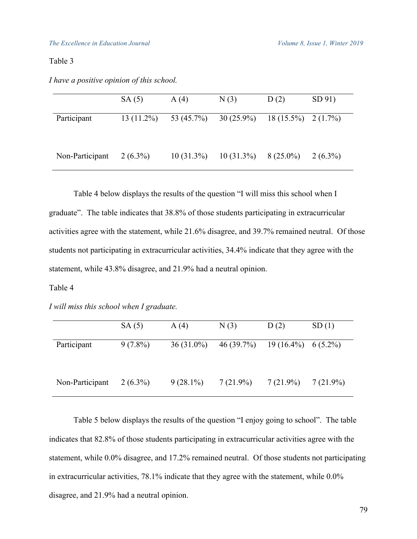| I have a positive opinion of this school. |  |  |  |
|-------------------------------------------|--|--|--|
|-------------------------------------------|--|--|--|

|                 | SA(5)        | A(4)         | N(3)                  | D(2)                 | SD 91)     |
|-----------------|--------------|--------------|-----------------------|----------------------|------------|
| Participant     | $13(11.2\%)$ |              | 53 (45.7%) 30 (25.9%) | $18(15.5\%)$ 2(1.7%) |            |
| Non-Participant | $2(6.3\%)$   | $10(31.3\%)$ | $10(31.3\%)$          | $8(25.0\%)$          | $2(6.3\%)$ |

Table 4 below displays the results of the question "I will miss this school when I graduate". The table indicates that 38.8% of those students participating in extracurricular activities agree with the statement, while 21.6% disagree, and 39.7% remained neutral. Of those students not participating in extracurricular activities, 34.4% indicate that they agree with the statement, while 43.8% disagree, and 21.9% had a neutral opinion.

### Table 4

*I will miss this school when I graduate.*

|                 | SA(5)      | A(4)         | N(3)        | D(2)                 | SD(1)       |
|-----------------|------------|--------------|-------------|----------------------|-------------|
| Participant     | $9(7.8\%)$ | $36(31.0\%)$ | 46(39.7%)   | $19(16.4\%)$ 6(5.2%) |             |
| Non-Participant | $2(6.3\%)$ | $9(28.1\%)$  | $7(21.9\%)$ | $7(21.9\%)$          | $7(21.9\%)$ |

Table 5 below displays the results of the question "I enjoy going to school". The table indicates that 82.8% of those students participating in extracurricular activities agree with the statement, while 0.0% disagree, and 17.2% remained neutral. Of those students not participating in extracurricular activities, 78.1% indicate that they agree with the statement, while 0.0% disagree, and 21.9% had a neutral opinion.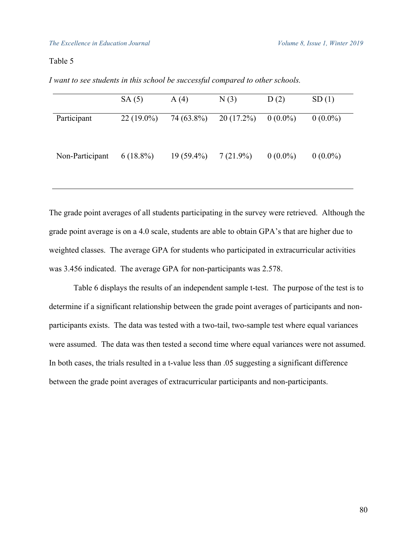|                 | SA(5)        | A(4)         | N(3)         | D(2)       | SD(1)      |
|-----------------|--------------|--------------|--------------|------------|------------|
| Participant     | $22(19.0\%)$ | 74 (63.8%)   | $20(17.2\%)$ | $0(0.0\%)$ | $0(0.0\%)$ |
| Non-Participant | $6(18.8\%)$  | $19(59.4\%)$ | $7(21.9\%)$  | $0(0.0\%)$ | $0(0.0\%)$ |

*I want to see students in this school be successful compared to other schools.*

The grade point averages of all students participating in the survey were retrieved. Although the grade point average is on a 4.0 scale, students are able to obtain GPA's that are higher due to weighted classes. The average GPA for students who participated in extracurricular activities was 3.456 indicated. The average GPA for non-participants was 2.578.

Table 6 displays the results of an independent sample t-test. The purpose of the test is to determine if a significant relationship between the grade point averages of participants and nonparticipants exists. The data was tested with a two-tail, two-sample test where equal variances were assumed. The data was then tested a second time where equal variances were not assumed. In both cases, the trials resulted in a t-value less than .05 suggesting a significant difference between the grade point averages of extracurricular participants and non-participants.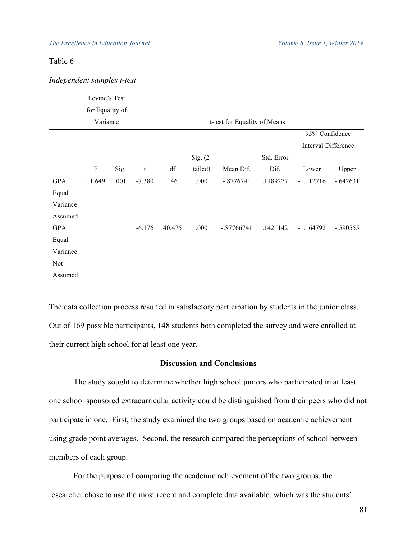| Independent samples t-test |  |  |
|----------------------------|--|--|
|----------------------------|--|--|

|            | Levine's Test             |      |          |        |             |                              |            |                            |            |
|------------|---------------------------|------|----------|--------|-------------|------------------------------|------------|----------------------------|------------|
|            |                           |      |          |        |             |                              |            |                            |            |
|            | for Equality of           |      |          |        |             |                              |            |                            |            |
|            | Variance                  |      |          |        |             | t-test for Equality of Means |            |                            |            |
|            |                           |      |          |        |             |                              |            | 95% Confidence             |            |
|            |                           |      |          |        |             |                              |            | <b>Interval Difference</b> |            |
|            |                           |      |          |        | Sig. $(2 -$ |                              | Std. Error |                            |            |
|            | $\boldsymbol{\mathrm{F}}$ | Sig. | t        | df     | tailed)     | Mean Dif.                    | Dif.       | Lower                      | Upper      |
| <b>GPA</b> | 11.649                    | .001 | $-7.380$ | 146    | .000        | $-.8776741$                  | .1189277   | $-1.112716$                | $-.642631$ |
| Equal      |                           |      |          |        |             |                              |            |                            |            |
| Variance   |                           |      |          |        |             |                              |            |                            |            |
| Assumed    |                           |      |          |        |             |                              |            |                            |            |
| <b>GPA</b> |                           |      | $-6.176$ | 40.475 | .000        | $-.87766741$                 | .1421142   | $-1.164792$                | $-.590555$ |
| Equal      |                           |      |          |        |             |                              |            |                            |            |
| Variance   |                           |      |          |        |             |                              |            |                            |            |
| <b>Not</b> |                           |      |          |        |             |                              |            |                            |            |
| Assumed    |                           |      |          |        |             |                              |            |                            |            |

The data collection process resulted in satisfactory participation by students in the junior class. Out of 169 possible participants, 148 students both completed the survey and were enrolled at their current high school for at least one year.

# **Discussion and Conclusions**

The study sought to determine whether high school juniors who participated in at least one school sponsored extracurricular activity could be distinguished from their peers who did not participate in one. First, the study examined the two groups based on academic achievement using grade point averages. Second, the research compared the perceptions of school between members of each group.

For the purpose of comparing the academic achievement of the two groups, the researcher chose to use the most recent and complete data available, which was the students'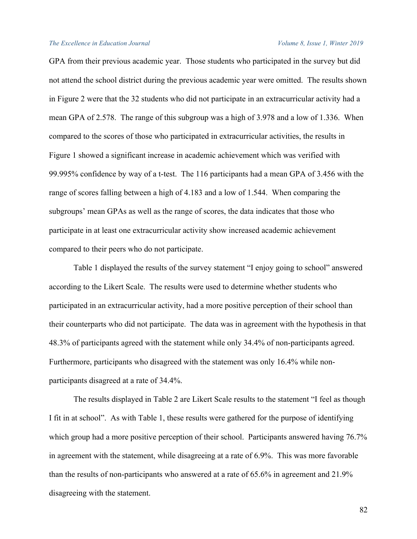GPA from their previous academic year. Those students who participated in the survey but did not attend the school district during the previous academic year were omitted. The results shown in Figure 2 were that the 32 students who did not participate in an extracurricular activity had a mean GPA of 2.578. The range of this subgroup was a high of 3.978 and a low of 1.336. When compared to the scores of those who participated in extracurricular activities, the results in Figure 1 showed a significant increase in academic achievement which was verified with 99.995% confidence by way of a t-test. The 116 participants had a mean GPA of 3.456 with the range of scores falling between a high of 4.183 and a low of 1.544. When comparing the subgroups' mean GPAs as well as the range of scores, the data indicates that those who participate in at least one extracurricular activity show increased academic achievement compared to their peers who do not participate.

Table 1 displayed the results of the survey statement "I enjoy going to school" answered according to the Likert Scale. The results were used to determine whether students who participated in an extracurricular activity, had a more positive perception of their school than their counterparts who did not participate. The data was in agreement with the hypothesis in that 48.3% of participants agreed with the statement while only 34.4% of non-participants agreed. Furthermore, participants who disagreed with the statement was only 16.4% while nonparticipants disagreed at a rate of 34.4%.

The results displayed in Table 2 are Likert Scale results to the statement "I feel as though I fit in at school". As with Table 1, these results were gathered for the purpose of identifying which group had a more positive perception of their school. Participants answered having 76.7% in agreement with the statement, while disagreeing at a rate of 6.9%. This was more favorable than the results of non-participants who answered at a rate of 65.6% in agreement and 21.9% disagreeing with the statement.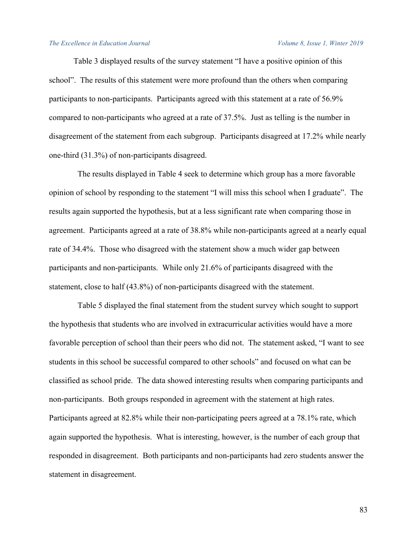Table 3 displayed results of the survey statement "I have a positive opinion of this school". The results of this statement were more profound than the others when comparing participants to non-participants. Participants agreed with this statement at a rate of 56.9% compared to non-participants who agreed at a rate of 37.5%. Just as telling is the number in disagreement of the statement from each subgroup. Participants disagreed at 17.2% while nearly one-third (31.3%) of non-participants disagreed.

 The results displayed in Table 4 seek to determine which group has a more favorable opinion of school by responding to the statement "I will miss this school when I graduate". The results again supported the hypothesis, but at a less significant rate when comparing those in agreement. Participants agreed at a rate of 38.8% while non-participants agreed at a nearly equal rate of 34.4%. Those who disagreed with the statement show a much wider gap between participants and non-participants. While only 21.6% of participants disagreed with the statement, close to half (43.8%) of non-participants disagreed with the statement.

 Table 5 displayed the final statement from the student survey which sought to support the hypothesis that students who are involved in extracurricular activities would have a more favorable perception of school than their peers who did not. The statement asked, "I want to see students in this school be successful compared to other schools" and focused on what can be classified as school pride. The data showed interesting results when comparing participants and non-participants. Both groups responded in agreement with the statement at high rates. Participants agreed at 82.8% while their non-participating peers agreed at a 78.1% rate, which again supported the hypothesis. What is interesting, however, is the number of each group that responded in disagreement. Both participants and non-participants had zero students answer the statement in disagreement.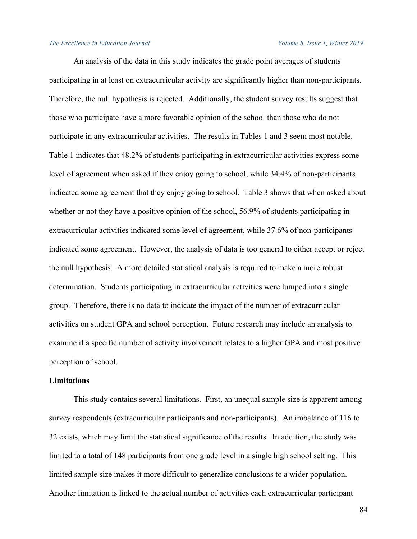An analysis of the data in this study indicates the grade point averages of students participating in at least on extracurricular activity are significantly higher than non-participants. Therefore, the null hypothesis is rejected. Additionally, the student survey results suggest that those who participate have a more favorable opinion of the school than those who do not participate in any extracurricular activities. The results in Tables 1 and 3 seem most notable. Table 1 indicates that 48.2% of students participating in extracurricular activities express some level of agreement when asked if they enjoy going to school, while 34.4% of non-participants indicated some agreement that they enjoy going to school. Table 3 shows that when asked about whether or not they have a positive opinion of the school, 56.9% of students participating in extracurricular activities indicated some level of agreement, while 37.6% of non-participants indicated some agreement. However, the analysis of data is too general to either accept or reject the null hypothesis. A more detailed statistical analysis is required to make a more robust determination. Students participating in extracurricular activities were lumped into a single group. Therefore, there is no data to indicate the impact of the number of extracurricular activities on student GPA and school perception. Future research may include an analysis to examine if a specific number of activity involvement relates to a higher GPA and most positive perception of school.

### **Limitations**

This study contains several limitations. First, an unequal sample size is apparent among survey respondents (extracurricular participants and non-participants). An imbalance of 116 to 32 exists, which may limit the statistical significance of the results. In addition, the study was limited to a total of 148 participants from one grade level in a single high school setting. This limited sample size makes it more difficult to generalize conclusions to a wider population. Another limitation is linked to the actual number of activities each extracurricular participant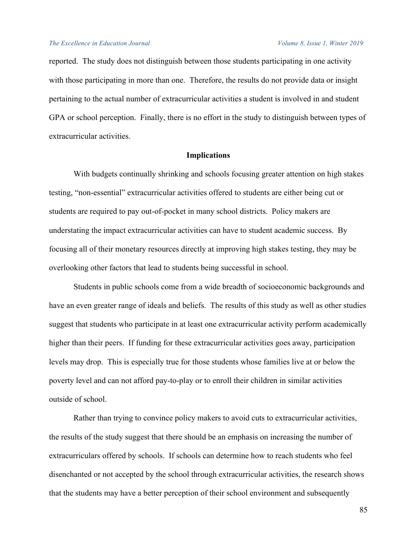reported. The study does not distinguish between those students participating in one activity with those participating in more than one. Therefore, the results do not provide data or insight pertaining to the actual number of extracurricular activities a student is involved in and student GPA or school perception. Finally, there is no effort in the study to distinguish between types of extracurricular activities.

# **Implications**

With budgets continually shrinking and schools focusing greater attention on high stakes testing, "non-essential" extracurricular activities offered to students are either being cut or students are required to pay out-of-pocket in many school districts. Policy makers are understating the impact extracurricular activities can have to student academic success. By focusing all of their monetary resources directly at improving high stakes testing, they may be overlooking other factors that lead to students being successful in school.

Students in public schools come from a wide breadth of socioeconomic backgrounds and have an even greater range of ideals and beliefs. The results of this study as well as other studies suggest that students who participate in at least one extracurricular activity perform academically higher than their peers. If funding for these extracurricular activities goes away, participation levels may drop. This is especially true for those students whose families live at or below the poverty level and can not afford pay-to-play or to enroll their children in similar activities outside of school.

Rather than trying to convince policy makers to avoid cuts to extracurricular activities, the results of the study suggest that there should be an emphasis on increasing the number of extracurriculars offered by schools. If schools can determine how to reach students who feel disenchanted or not accepted by the school through extracurricular activities, the research shows that the students may have a better perception of their school environment and subsequently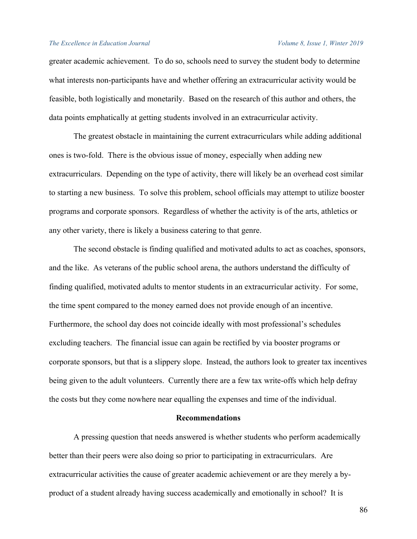greater academic achievement. To do so, schools need to survey the student body to determine what interests non-participants have and whether offering an extracurricular activity would be feasible, both logistically and monetarily. Based on the research of this author and others, the data points emphatically at getting students involved in an extracurricular activity.

The greatest obstacle in maintaining the current extracurriculars while adding additional ones is two-fold. There is the obvious issue of money, especially when adding new extracurriculars. Depending on the type of activity, there will likely be an overhead cost similar to starting a new business. To solve this problem, school officials may attempt to utilize booster programs and corporate sponsors. Regardless of whether the activity is of the arts, athletics or any other variety, there is likely a business catering to that genre.

The second obstacle is finding qualified and motivated adults to act as coaches, sponsors, and the like. As veterans of the public school arena, the authors understand the difficulty of finding qualified, motivated adults to mentor students in an extracurricular activity. For some, the time spent compared to the money earned does not provide enough of an incentive. Furthermore, the school day does not coincide ideally with most professional's schedules excluding teachers. The financial issue can again be rectified by via booster programs or corporate sponsors, but that is a slippery slope. Instead, the authors look to greater tax incentives being given to the adult volunteers. Currently there are a few tax write-offs which help defray the costs but they come nowhere near equalling the expenses and time of the individual.

# **Recommendations**

A pressing question that needs answered is whether students who perform academically better than their peers were also doing so prior to participating in extracurriculars. Are extracurricular activities the cause of greater academic achievement or are they merely a byproduct of a student already having success academically and emotionally in school? It is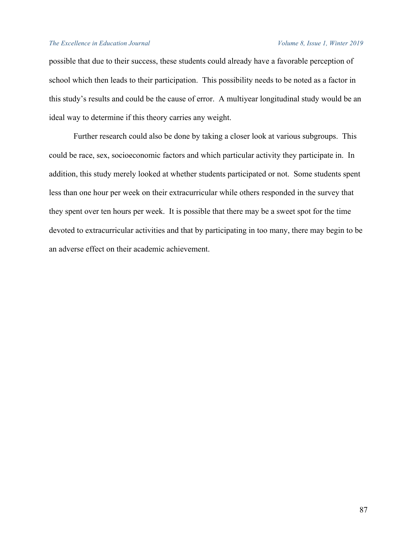possible that due to their success, these students could already have a favorable perception of school which then leads to their participation. This possibility needs to be noted as a factor in this study's results and could be the cause of error. A multiyear longitudinal study would be an ideal way to determine if this theory carries any weight.

Further research could also be done by taking a closer look at various subgroups. This could be race, sex, socioeconomic factors and which particular activity they participate in. In addition, this study merely looked at whether students participated or not. Some students spent less than one hour per week on their extracurricular while others responded in the survey that they spent over ten hours per week. It is possible that there may be a sweet spot for the time devoted to extracurricular activities and that by participating in too many, there may begin to be an adverse effect on their academic achievement.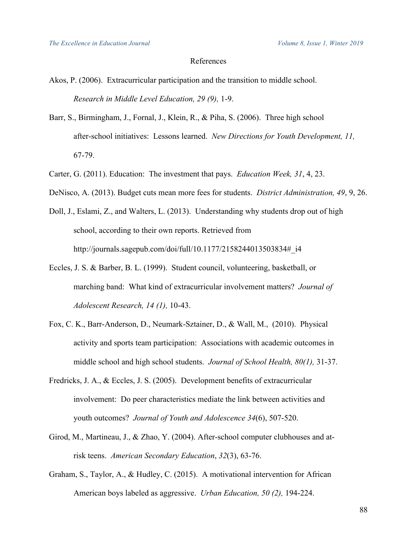# References

- Akos, P. (2006). Extracurricular participation and the transition to middle school. *Research in Middle Level Education, 29 (9),* 1-9.
- Barr, S., Birmingham, J., Fornal, J., Klein, R., & Piha, S. (2006). Three high school after-school initiatives: Lessons learned. *New Directions for Youth Development, 11,*  67-79.
- Carter, G. (2011). Education: The investment that pays. *Education Week, 31*, 4, 23.
- DeNisco, A. (2013). Budget cuts mean more fees for students. *District Administration, 49*, 9, 26.
- Doll, J., Eslami, Z., and Walters, L. (2013). Understanding why students drop out of high school, according to their own reports. Retrieved from http://journals.sagepub.com/doi/full/10.1177/2158244013503834#\_i4
- Eccles, J. S. & Barber, B. L. (1999). Student council, volunteering, basketball, or marching band: What kind of extracurricular involvement matters? *Journal of Adolescent Research, 14 (1),* 10-43.
- Fox, C. K., Barr-Anderson, D., Neumark-Sztainer, D., & Wall, M., (2010). Physical activity and sports team participation: Associations with academic outcomes in middle school and high school students. *Journal of School Health, 80(1),* 31-37.
- Fredricks, J. A., & Eccles, J. S. (2005). Development benefits of extracurricular involvement: Do peer characteristics mediate the link between activities and youth outcomes? *Journal of Youth and Adolescence 34*(6), 507-520.
- Girod, M., Martineau, J., & Zhao, Y. (2004). After-school computer clubhouses and atrisk teens. *American Secondary Education*, *32*(3), 63-76.
- Graham, S., Taylor, A., & Hudley, C. (2015). A motivational intervention for African American boys labeled as aggressive. *Urban Education, 50 (2),* 194-224.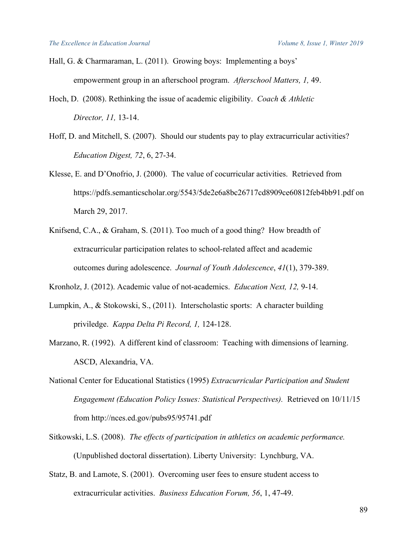- Hall, G. & Charmaraman, L. (2011). Growing boys: Implementing a boys' empowerment group in an afterschool program. *Afterschool Matters, 1,* 49.
- Hoch, D. (2008). Rethinking the issue of academic eligibility. *Coach & Athletic Director, 11,* 13-14.
- Hoff, D. and Mitchell, S. (2007). Should our students pay to play extracurricular activities? *Education Digest, 72*, 6, 27-34.
- Klesse, E. and D'Onofrio, J. (2000). The value of cocurricular activities. Retrieved from https://pdfs.semanticscholar.org/5543/5de2e6a8bc26717cd8909ce60812feb4bb91.pdf on March 29, 2017.
- Knifsend, C.A., & Graham, S. (2011). Too much of a good thing? How breadth of extracurricular participation relates to school-related affect and academic outcomes during adolescence. *Journal of Youth Adolescence*, *41*(1), 379-389.
- Kronholz, J. (2012). Academic value of not-academics. *Education Next, 12,* 9-14.
- Lumpkin, A., & Stokowski, S., (2011). Interscholastic sports: A character building priviledge. *Kappa Delta Pi Record, 1,* 124-128.
- Marzano, R. (1992). A different kind of classroom: Teaching with dimensions of learning. ASCD, Alexandria, VA.
- National Center for Educational Statistics (1995) *Extracurricular Participation and Student Engagement (Education Policy Issues: Statistical Perspectives).* Retrieved on 10/11/15 from http://nces.ed.gov/pubs95/95741.pdf
- Sitkowski, L.S. (2008). *The effects of participation in athletics on academic performance.* (Unpublished doctoral dissertation). Liberty University: Lynchburg, VA.
- Statz, B. and Lamote, S. (2001). Overcoming user fees to ensure student access to extracurricular activities. *Business Education Forum, 56*, 1, 47-49.